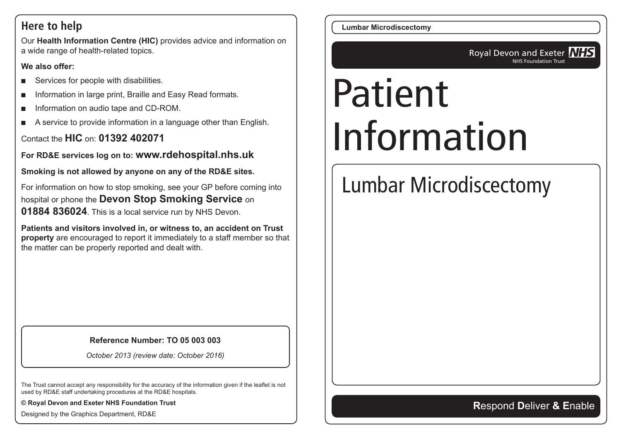#### **Here to help**

Our **Health Information Centre (HIC)** provides advice and information on a wide range of health-related topics.

#### **We also offer:**

- Services for people with disabilities.
- Information in large print, Braille and Easy Read formats.
- Information on audio tape and CD-ROM.
- A service to provide information in a language other than English.

Contact the **HIC** on: **01392 402071**

**For RD&E services log on to: www.rdehospital.nhs.uk**

**Smoking is not allowed by anyone on any of the RD&E sites.**

For information on how to stop smoking, see your GP before coming into hospital or phone the **Devon Stop Smoking Service** on **01884 836024**. This is a local service run by NHS Devon.

**Patients and visitors involved in, or witness to, an accident on Trust property** are encouraged to report it immediately to a staff member so that the matter can be properly reported and dealt with.

#### **Reference Number: TO 05 003 003**

*October 2013 (review date: October 2016)*

The Trust cannot accept any responsibility for the accuracy of the information given if the leaflet is not used by RD&E staff undertaking procedures at the RD&E hospitals.

**© Royal Devon and Exeter NHS Foundation Trust**

Designed by the Graphics Department, RD&E

**Lumbar Microdiscectomy**

Royal Devon and Exeter **NHS** NHS Foundation Trust

# Patient Information

# Lumbar Microdiscectomy

#### **R**espond **D**eliver **& E**nable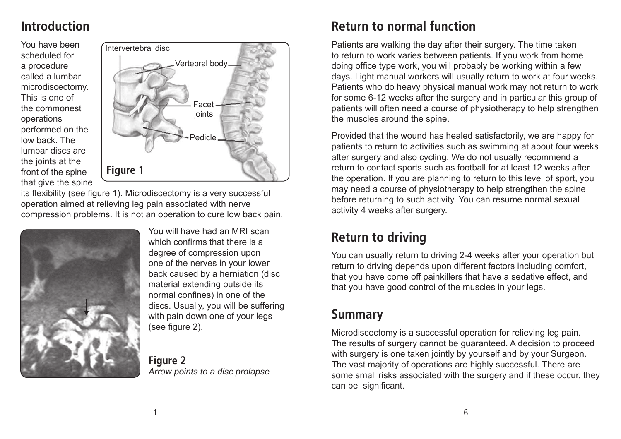# **Introduction**

You have been scheduled for a procedure called a lumbar microdiscectomy. This is one of the commonest operations performed on the low back. The lumbar discs are the joints at the front of the spine that give the spine



its flexibility (see figure 1). Microdiscectomy is a very successful operation aimed at relieving leg pain associated with nerve compression problems. It is not an operation to cure low back pain.



You will have had an MRI scan which confirms that there is a degree of compression upon one of the nerves in your lower back caused by a herniation (disc material extending outside its normal confines) in one of the discs. Usually, you will be suffering with pain down one of your legs (see figure 2).

**Figure 2** *Arrow points to a disc prolapse*

## **Return to normal function**

Patients are walking the day after their surgery. The time taken to return to work varies between patients. If you work from home doing office type work, you will probably be working within a few days. Light manual workers will usually return to work at four weeks. Patients who do heavy physical manual work may not return to work for some 6-12 weeks after the surgery and in particular this group of patients will often need a course of physiotherapy to help strengthen the muscles around the spine.

Provided that the wound has healed satisfactorily, we are happy for patients to return to activities such as swimming at about four weeks after surgery and also cycling. We do not usually recommend a return to contact sports such as football for at least 12 weeks after the operation. If you are planning to return to this level of sport, you may need a course of physiotherapy to help strengthen the spine before returning to such activity. You can resume normal sexual activity 4 weeks after surgery.

# **Return to driving**

You can usually return to driving 2-4 weeks after your operation but return to driving depends upon different factors including comfort, that you have come off painkillers that have a sedative effect, and that you have good control of the muscles in your legs.

# **Summary**

Microdiscectomy is a successful operation for relieving leg pain. The results of surgery cannot be guaranteed. A decision to proceed with surgery is one taken jointly by yourself and by your Surgeon. The vast majority of operations are highly successful. There are some small risks associated with the surgery and if these occur, they can be significant.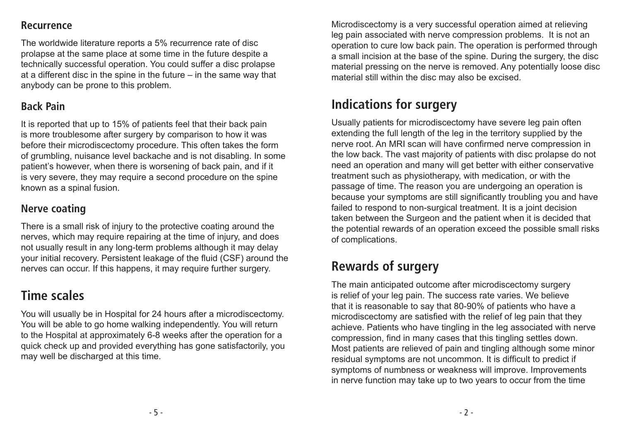#### **Recurrence**

The worldwide literature reports a 5% recurrence rate of disc prolapse at the same place at some time in the future despite a technically successful operation. You could suffer a disc prolapse at a different disc in the spine in the future – in the same way that anybody can be prone to this problem.

#### **Back Pain**

It is reported that up to 15% of patients feel that their back pain is more troublesome after surgery by comparison to how it was before their microdiscectomy procedure. This often takes the form of grumbling, nuisance level backache and is not disabling. In some patient's however, when there is worsening of back pain, and if it is very severe, they may require a second procedure on the spine known as a spinal fusion.

#### **Nerve coating**

There is a small risk of injury to the protective coating around the nerves, which may require repairing at the time of injury, and does not usually result in any long-term problems although it may delay your initial recovery. Persistent leakage of the fluid (CSF) around the nerves can occur. If this happens, it may require further surgery.

# **Time scales**

You will usually be in Hospital for 24 hours after a microdiscectomy. You will be able to go home walking independently. You will return to the Hospital at approximately 6-8 weeks after the operation for a quick check up and provided everything has gone satisfactorily, you may well be discharged at this time.

Microdiscectomy is a very successful operation aimed at relieving leg pain associated with nerve compression problems. It is not an operation to cure low back pain. The operation is performed through a small incision at the base of the spine. During the surgery, the disc material pressing on the nerve is removed. Any potentially loose disc material still within the disc may also be excised.

# **Indications for surgery**

Usually patients for microdiscectomy have severe leg pain often extending the full length of the leg in the territory supplied by the nerve root. An MRI scan will have confirmed nerve compression in the low back. The vast majority of patients with disc prolapse do not need an operation and many will get better with either conservative treatment such as physiotherapy, with medication, or with the passage of time. The reason you are undergoing an operation is because your symptoms are still significantly troubling you and have failed to respond to non-surgical treatment. It is a joint decision taken between the Surgeon and the patient when it is decided that the potential rewards of an operation exceed the possible small risks of complications.

# **Rewards of surgery**

The main anticipated outcome after microdiscectomy surgery is relief of your leg pain. The success rate varies. We believe that it is reasonable to say that 80-90% of patients who have a microdiscectomy are satisfied with the relief of leg pain that they achieve. Patients who have tingling in the leg associated with nerve compression, find in many cases that this tingling settles down. Most patients are relieved of pain and tingling although some minor residual symptoms are not uncommon. It is difficult to predict if symptoms of numbness or weakness will improve. Improvements in nerve function may take up to two years to occur from the time